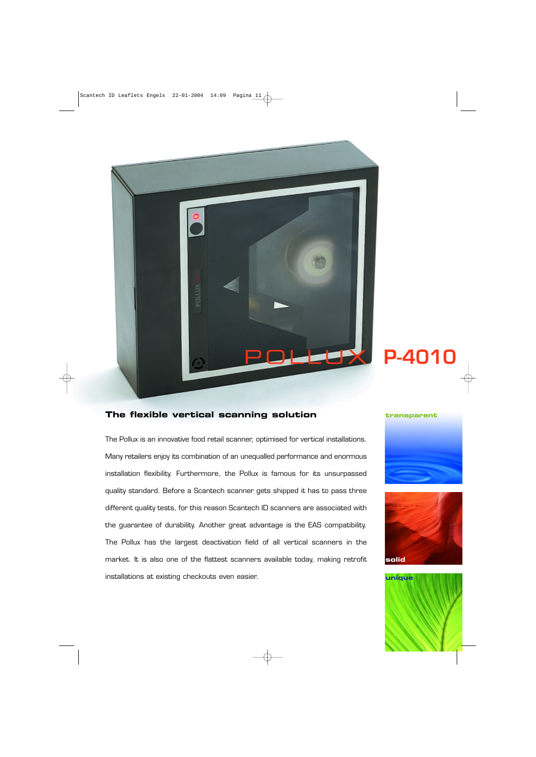

## **The flexible vertical scanning solution**

The Pollux is an innovative food retail scanner, optimised for vertical installations. Many retailers enjoy its combination of an unequalled performance and enormous installation flexibility. Furthermore, the Pollux is famous for its unsurpassed quality standard. Before a Scantech scanner gets shipped it has to pass three different quality tests, for this reason Scantech ID scanners are associated with the guarantee of durability. Another great advantage is the EAS compatibility. The Pollux has the largest deactivation field of all vertical scanners in the market. It is also one of the flattest scanners available today, making retrofit installations at existing checkouts even easier.

#### **transparent**





**unique**